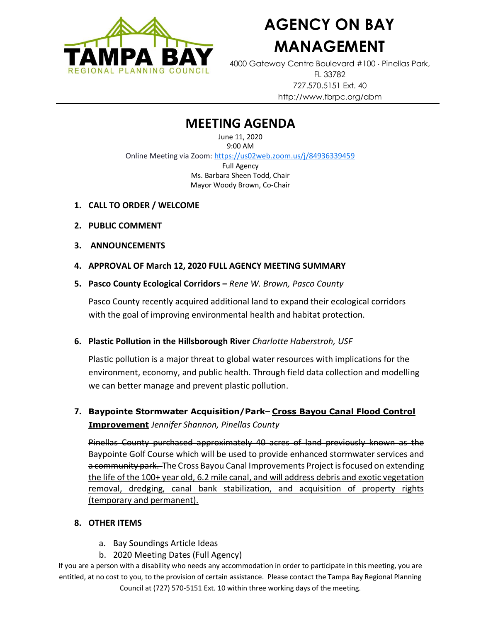

# **AGENCY ON BAY MANAGEMENT**

4000 Gateway Centre Boulevard #100 Pinellas Park, FL 33782 727.570.5151 Ext. 40 http://www.tbrpc.org/abm

## **MEETING AGENDA**

June 11, 2020 9:00 AM Online Meeting via Zoom: <https://us02web.zoom.us/j/84936339459> Full Agency Ms. Barbara Sheen Todd, Chair Mayor Woody Brown, Co-Chair

- **1. CALL TO ORDER / WELCOME**
- **2. PUBLIC COMMENT**
- **3. ANNOUNCEMENTS**
- **4. APPROVAL OF March 12, 2020 FULL AGENCY MEETING SUMMARY**
- **5. Pasco County Ecological Corridors –** *Rene W. Brown, Pasco County*

Pasco County recently acquired additional land to expand their ecological corridors with the goal of improving environmental health and habitat protection.

#### **6. Plastic Pollution in the Hillsborough River** *Charlotte Haberstroh, USF*

Plastic pollution is a major threat to global water resources with implications for the environment, economy, and public health. Through field data collection and modelling we can better manage and prevent plastic pollution.

### **7. Baypointe Stormwater Acquisition/Park**– **Cross Bayou Canal Flood Control Improvement** *Jennifer Shannon, Pinellas County*

Pinellas County purchased approximately 40 acres of land previously known as the Baypointe Golf Course which will be used to provide enhanced stormwater services and a community park. The Cross Bayou Canal Improvements Project is focused on extending the life of the 100+ year old, 6.2 mile canal, and will address debris and exotic vegetation removal, dredging, canal bank stabilization, and acquisition of property rights (temporary and permanent).

#### **8. OTHER ITEMS**

- a. Bay Soundings Article Ideas
- b. 2020 Meeting Dates (Full Agency)

If you are a person with a disability who needs any accommodation in order to participate in this meeting, you are entitled, at no cost to you, to the provision of certain assistance. Please contact the Tampa Bay Regional Planning Council at (727) 570-5151 Ext. 10 within three working days of the meeting.